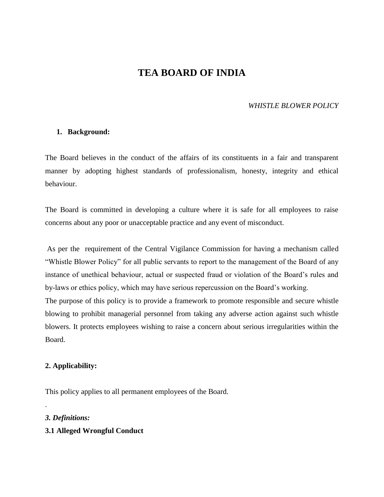# **TEA BOARD OF INDIA**

### *WHISTLE BLOWER POLICY*

#### **1. Background:**

The Board believes in the conduct of the affairs of its constituents in a fair and transparent manner by adopting highest standards of professionalism, honesty, integrity and ethical behaviour.

The Board is committed in developing a culture where it is safe for all employees to raise concerns about any poor or unacceptable practice and any event of misconduct.

As per the requirement of the Central Vigilance Commission for having a mechanism called "Whistle Blower Policy" for all public servants to report to the management of the Board of any instance of unethical behaviour, actual or suspected fraud or violation of the Board's rules and by-laws or ethics policy, which may have serious repercussion on the Board's working. The purpose of this policy is to provide a framework to promote responsible and secure whistle blowing to prohibit managerial personnel from taking any adverse action against such whistle blowers. It protects employees wishing to raise a concern about serious irregularities within the Board.

#### **2. Applicability:**

This policy applies to all permanent employees of the Board.

*3. Definitions:*

.

# **3.1 Alleged Wrongful Conduct**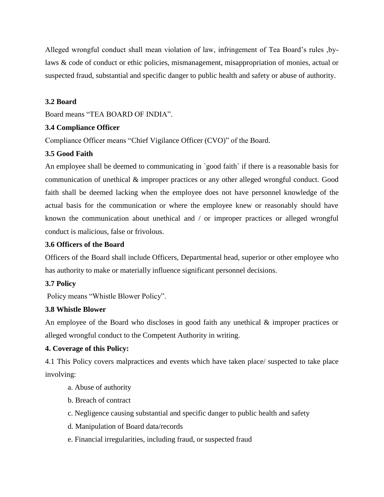Alleged wrongful conduct shall mean violation of law, infringement of Tea Board's rules ,bylaws & code of conduct or ethic policies, mismanagement, misappropriation of monies, actual or suspected fraud, substantial and specific danger to public health and safety or abuse of authority.

## **3.2 Board**

Board means "TEA BOARD OF INDIA".

### **3.4 Compliance Officer**

Compliance Officer means "Chief Vigilance Officer (CVO)" of the Board.

# **3.5 Good Faith**

An employee shall be deemed to communicating in `good faith` if there is a reasonable basis for communication of unethical & improper practices or any other alleged wrongful conduct. Good faith shall be deemed lacking when the employee does not have personnel knowledge of the actual basis for the communication or where the employee knew or reasonably should have known the communication about unethical and / or improper practices or alleged wrongful conduct is malicious, false or frivolous.

## **3.6 Officers of the Board**

Officers of the Board shall include Officers, Departmental head, superior or other employee who has authority to make or materially influence significant personnel decisions.

#### **3.7 Policy**

Policy means "Whistle Blower Policy".

# **3.8 Whistle Blower**

An employee of the Board who discloses in good faith any unethical & improper practices or alleged wrongful conduct to the Competent Authority in writing.

# **4. Coverage of this Policy:**

4.1 This Policy covers malpractices and events which have taken place/ suspected to take place involving:

- a. Abuse of authority
- b. Breach of contract
- c. Negligence causing substantial and specific danger to public health and safety
- d. Manipulation of Board data/records
- e. Financial irregularities, including fraud, or suspected fraud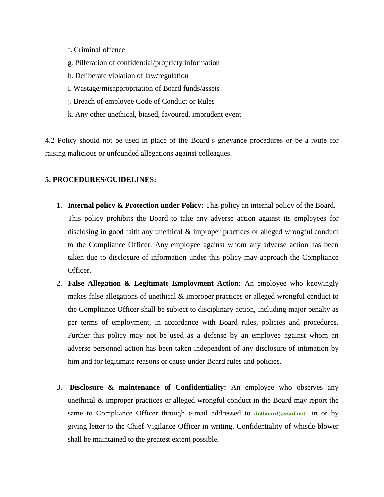- f. Criminal offence
- g. Pilferation of confidential/propriety information
- h. Deliberate violation of law/regulation
- i. Wastage/misappropriation of Board funds/assets
- j. Breach of employee Code of Conduct or Rules
- k. Any other unethical, biased, favoured, imprudent event

4.2 Policy should not be used in place of the Board's grievance procedures or be a route for raising malicious or unfounded allegations against colleagues.

#### **5. PROCEDURES/GUIDELINES:**

- 1. **Internal policy & Protection under Policy:** This policy an internal policy of the Board. This policy prohibits the Board to take any adverse action against its employees for disclosing in good faith any unethical & improper practices or alleged wrongful conduct to the Compliance Officer. Any employee against whom any adverse action has been taken due to disclosure of information under this policy may approach the Compliance Officer.
- 2. **False Allegation & Legitimate Employment Action:** An employee who knowingly makes false allegations of unethical & improper practices or alleged wrongful conduct to the Compliance Officer shall be subject to disciplinary action, including major penalty as per terms of employment, in accordance with Board rules, policies and procedures. Further this policy may not be used as a defense by an employee against whom an adverse personnel action has been taken independent of any disclosure of intimation by him and for legitimate reasons or cause under Board rules and policies.
- 3. **Disclosure & maintenance of Confidentiality:** An employee who observes any unethical & improper practices or alleged wrongful conduct in the Board may report the same to Compliance Officer through e-mail addressed to **[dctboard@vsnl.net](mailto:dctboard@vsnl.net)** in or by giving letter to the Chief Vigilance Officer in writing. Confidentiality of whistle blower shall be maintained to the greatest extent possible.